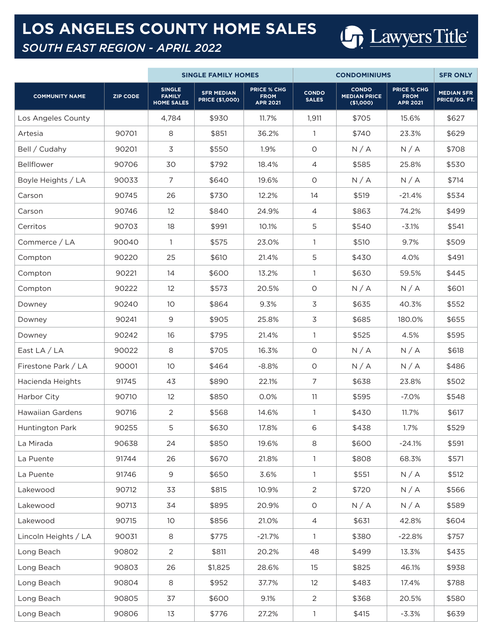## **LOS ANGELES COUNTY HOME SALES**

## *SOUTH EAST REGION - APRIL 2022*

|                         |                 | <b>SINGLE FAMILY HOMES</b>                          |                                             |                                                      |                              | <b>SFR ONLY</b>                                  |                                                      |                                    |
|-------------------------|-----------------|-----------------------------------------------------|---------------------------------------------|------------------------------------------------------|------------------------------|--------------------------------------------------|------------------------------------------------------|------------------------------------|
| <b>COMMUNITY NAME</b>   | <b>ZIP CODE</b> | <b>SINGLE</b><br><b>FAMILY</b><br><b>HOME SALES</b> | <b>SFR MEDIAN</b><br><b>PRICE (\$1,000)</b> | <b>PRICE % CHG</b><br><b>FROM</b><br><b>APR 2021</b> | <b>CONDO</b><br><b>SALES</b> | <b>CONDO</b><br><b>MEDIAN PRICE</b><br>(\$1,000) | <b>PRICE % CHG</b><br><b>FROM</b><br><b>APR 2021</b> | <b>MEDIAN SFR</b><br>PRICE/SQ. FT. |
| Los Angeles County      |                 | 4,784                                               | \$930                                       | 11.7%                                                | 1,911                        | \$705                                            | 15.6%                                                | \$627                              |
| Artesia                 | 90701           | 8                                                   | \$851                                       | 36.2%                                                | $\mathbf{1}$                 | \$740                                            | 23.3%                                                | \$629                              |
| Bell / Cudahy           | 90201           | 3                                                   | \$550                                       | 1.9%                                                 | $\circ$                      | N/A                                              | N/A                                                  | \$708                              |
| Bellflower              | 90706           | 30                                                  | \$792                                       | 18.4%                                                | 4                            | \$585                                            | 25.8%                                                | \$530                              |
| Boyle Heights / LA      | 90033           | $\overline{7}$                                      | \$640                                       | 19.6%                                                | 0                            | N/A                                              | N/A                                                  | \$714                              |
| Carson                  | 90745           | 26                                                  | \$730                                       | 12.2%                                                | 14                           | \$519                                            | $-21.4%$                                             | \$534                              |
| Carson                  | 90746           | 12                                                  | \$840                                       | 24.9%                                                | 4                            | \$863                                            | 74.2%                                                | \$499                              |
| Cerritos                | 90703           | 18                                                  | \$991                                       | 10.1%                                                | 5                            | \$540                                            | $-3.1%$                                              | \$541                              |
| Commerce / LA           | 90040           | $\mathbf{1}$                                        | \$575                                       | 23.0%                                                | 1                            | \$510                                            | 9.7%                                                 | \$509                              |
| Compton                 | 90220           | 25                                                  | \$610                                       | 21.4%                                                | 5                            | \$430                                            | 4.0%                                                 | \$491                              |
| Compton                 | 90221           | 14                                                  | \$600                                       | 13.2%                                                | 1                            | \$630                                            | 59.5%                                                | \$445                              |
| Compton                 | 90222           | 12                                                  | \$573                                       | 20.5%                                                | $\circ$                      | N/A                                              | N/A                                                  | \$601                              |
| Downey                  | 90240           | 10 <sup>°</sup>                                     | \$864                                       | 9.3%                                                 | 3                            | \$635                                            | 40.3%                                                | \$552                              |
| Downey                  | 90241           | 9                                                   | \$905                                       | 25.8%                                                | 3                            | \$685                                            | 180.0%                                               | \$655                              |
| Downey                  | 90242           | 16                                                  | \$795                                       | 21.4%                                                | $\mathbf{1}$                 | \$525                                            | 4.5%                                                 | \$595                              |
| East $LA / LA$          | 90022           | 8                                                   | \$705                                       | 16.3%                                                | $\circ$                      | N/A                                              | N/A                                                  | \$618                              |
| Firestone Park / LA     | 90001           | 10 <sup>°</sup>                                     | \$464                                       | $-8.8%$                                              | $\circ$                      | N/A                                              | N/A                                                  | \$486                              |
| Hacienda Heights        | 91745           | 43                                                  | \$890                                       | 22.1%                                                | 7                            | \$638                                            | 23.8%                                                | \$502                              |
| Harbor City             | 90710           | 12                                                  | \$850                                       | 0.0%                                                 | 11                           | \$595                                            | $-7.0%$                                              | \$548                              |
| <b>Hawaiian Gardens</b> | 90716           | 2                                                   | \$568                                       | 14.6%                                                | $\mathbf{1}$                 | \$430                                            | 11.7%                                                | \$617                              |
| Huntington Park         | 90255           | 5                                                   | \$630                                       | 17.8%                                                | 6                            | \$438                                            | 1.7%                                                 | \$529                              |
| La Mirada               | 90638           | 24                                                  | \$850                                       | 19.6%                                                | 8                            | \$600                                            | $-24.1%$                                             | \$591                              |
| La Puente               | 91744           | 26                                                  | \$670                                       | 21.8%                                                | 1                            | \$808                                            | 68.3%                                                | \$571                              |
| La Puente               | 91746           | $9$                                                 | \$650                                       | 3.6%                                                 | $\mathbf{1}$                 | \$551                                            | N/A                                                  | \$512                              |
| Lakewood                | 90712           | 33                                                  | \$815                                       | 10.9%                                                | $\overline{2}$               | \$720                                            | N/A                                                  | \$566                              |
| Lakewood                | 90713           | 34                                                  | \$895                                       | 20.9%                                                | $\circ$                      | N/A                                              | N/A                                                  | \$589                              |
| Lakewood                | 90715           | 10 <sup>°</sup>                                     | \$856                                       | 21.0%                                                | 4                            | \$631                                            | 42.8%                                                | \$604                              |
| Lincoln Heights / LA    | 90031           | 8                                                   | \$775                                       | $-21.7%$                                             | $\mathbf{1}$                 | \$380                                            | $-22.8%$                                             | \$757                              |
| Long Beach              | 90802           | $\overline{2}$                                      | \$811                                       | 20.2%                                                | 48                           | \$499                                            | 13.3%                                                | \$435                              |
| Long Beach              | 90803           | 26                                                  | \$1,825                                     | 28.6%                                                | 15                           | \$825                                            | 46.1%                                                | \$938                              |
| Long Beach              | 90804           | $\,8\,$                                             | \$952                                       | 37.7%                                                | 12                           | \$483                                            | 17.4%                                                | \$788                              |
| Long Beach              | 90805           | 37                                                  | \$600                                       | 9.1%                                                 | 2                            | \$368                                            | 20.5%                                                | \$580                              |
| Long Beach              | 90806           | 13                                                  | \$776                                       | 27.2%                                                | $\mathbf{1}$                 | \$415                                            | $-3.3%$                                              | \$639                              |

Lawyers Title